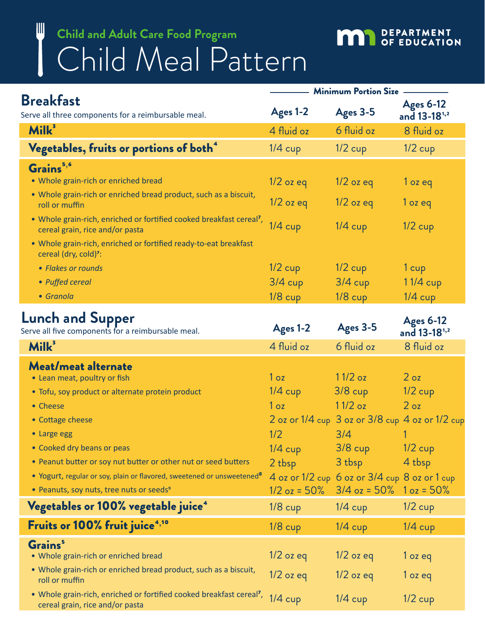## Child Meal Pattern **Child and Adult Care Food Program**

W

## **MAN** DEPARTMENT

|                                                                                                                     | <b>Minimum Portion Size</b> |                                                 |                                              |  |
|---------------------------------------------------------------------------------------------------------------------|-----------------------------|-------------------------------------------------|----------------------------------------------|--|
| <b>Breakfast</b><br>Serve all three components for a reimbursable meal.                                             | Ages 1-2                    | Ages 3-5                                        | <b>Ages 6-12</b><br>and 13-18 <sup>1,2</sup> |  |
| Milk <sup>3</sup>                                                                                                   | 4 fluid oz                  | 6 fluid oz                                      | 8 fluid oz                                   |  |
| Vegetables, fruits or portions of both <sup>4</sup>                                                                 | $1/4$ cup                   | $1/2$ cup                                       | $1/2$ cup                                    |  |
| Grains <sup>5,6</sup>                                                                                               |                             |                                                 |                                              |  |
| • Whole grain-rich or enriched bread                                                                                | $1/2$ oz eq                 | $1/2$ oz eq                                     | $1$ oz eq                                    |  |
| . Whole grain-rich or enriched bread product, such as a biscuit,<br>roll or muffin                                  | $1/2$ oz eq                 | $1/2$ oz eq                                     | $1$ oz eq                                    |  |
| • Whole grain-rich, enriched or fortified cooked breakfast cereal <sup>7</sup> ,<br>cereal grain, rice and/or pasta | $1/4$ cup                   | $1/4$ cup                                       | $1/2$ cup                                    |  |
| . Whole grain-rich, enriched or fortified ready-to-eat breakfast<br>cereal (dry, cold) <sup>7</sup> :               |                             |                                                 |                                              |  |
| • Flakes or rounds                                                                                                  | $1/2$ cup                   | $1/2$ cup                                       | 1 cup                                        |  |
| • Puffed cereal                                                                                                     | $3/4$ cup                   | $3/4$ cup                                       | 11/4 cup                                     |  |
| • Granola                                                                                                           | $1/8$ cup                   | $1/8$ cup                                       | $1/4$ cup                                    |  |
| <b>Lunch and Supper</b><br>Serve all five components for a reimbursable meal.                                       | Ages 1-2                    | Ages 3-5                                        | <b>Ages 6-12</b><br>and 13-18 <sup>1,2</sup> |  |
| Milk <sup>3</sup>                                                                                                   | 4 fluid oz                  | 6 fluid oz                                      | 8 fluid oz                                   |  |
| Meat/meat alternate                                                                                                 |                             |                                                 |                                              |  |
| • Lean meat, poultry or fish                                                                                        | 1 <sub>oz</sub>             | $11/2$ oz                                       | 2 <sub>oz</sub>                              |  |
| · Tofu, soy product or alternate protein product                                                                    | $1/4$ cup                   | $3/8$ cup                                       | $1/2$ cup                                    |  |
| • Cheese                                                                                                            | 1 <sub>oz</sub>             | $11/2$ oz                                       | 2 <sub>oz</sub>                              |  |
| • Cottage cheese                                                                                                    |                             | 2 oz or 1/4 cup 3 oz or 3/8 cup 4 oz or 1/2 cup |                                              |  |
|                                                                                                                     |                             | $\sim$ $\sim$ $\sim$                            |                                              |  |

| • Large egg                                                                                   | 1/2            | 3/4                                               |                |
|-----------------------------------------------------------------------------------------------|----------------|---------------------------------------------------|----------------|
| • Cooked dry beans or peas                                                                    | $1/4$ cup      | $3/8$ cup                                         | $1/2$ cup      |
| • Peanut butter or soy nut butter or other nut or seed butters                                | 2 tbsp         | 3 tbsp                                            | 4 tbsp         |
| • Yogurt, regular or soy, plain or flavored, sweetened or unsweetened <sup>8</sup>            |                | $4$ oz or 1/2 cup 6 oz or $3/4$ cup 8 oz or 1 cup |                |
| • Peanuts, soy nuts, tree nuts or seeds <sup>9</sup>                                          | $1/2$ oz = 50% | $3/4$ oz = 50% $1$ oz = 50%                       |                |
| Vegetables or 100% vegetable juice <sup>4</sup>                                               | $1/8$ cup      | $1/4$ cup                                         | $1/2$ cup      |
| Fruits or 100% fruit juice <sup>4,10</sup>                                                    | $1/8$ cup      | $1/4$ cup                                         | $1/4$ cup      |
| Grains <sup>5</sup>                                                                           |                |                                                   |                |
| • Whole grain-rich or enriched bread                                                          | $1/2$ oz eq    | $1/2$ oz eq                                       | $1$ oz eq      |
| • Whole grain-rich or enriched bread product, such as a biscuit,<br>roll or muffin            | $1/2$ oz eq    | $1/2$ oz eq                                       | $1$ oz eq      |
| • Whole grain-rich, enriched or fortified cooked breakfast cereal <sup>7</sup> , $1/\sqrt{2}$ |                | $1/\Lambda$ $\sim$                                | $1/2$ $\ldots$ |

whole grain-rich, enfiched or fortified cooked breakfast cereal", 1/4 cup 1/4 cup 1/2 cup 1/2 cup